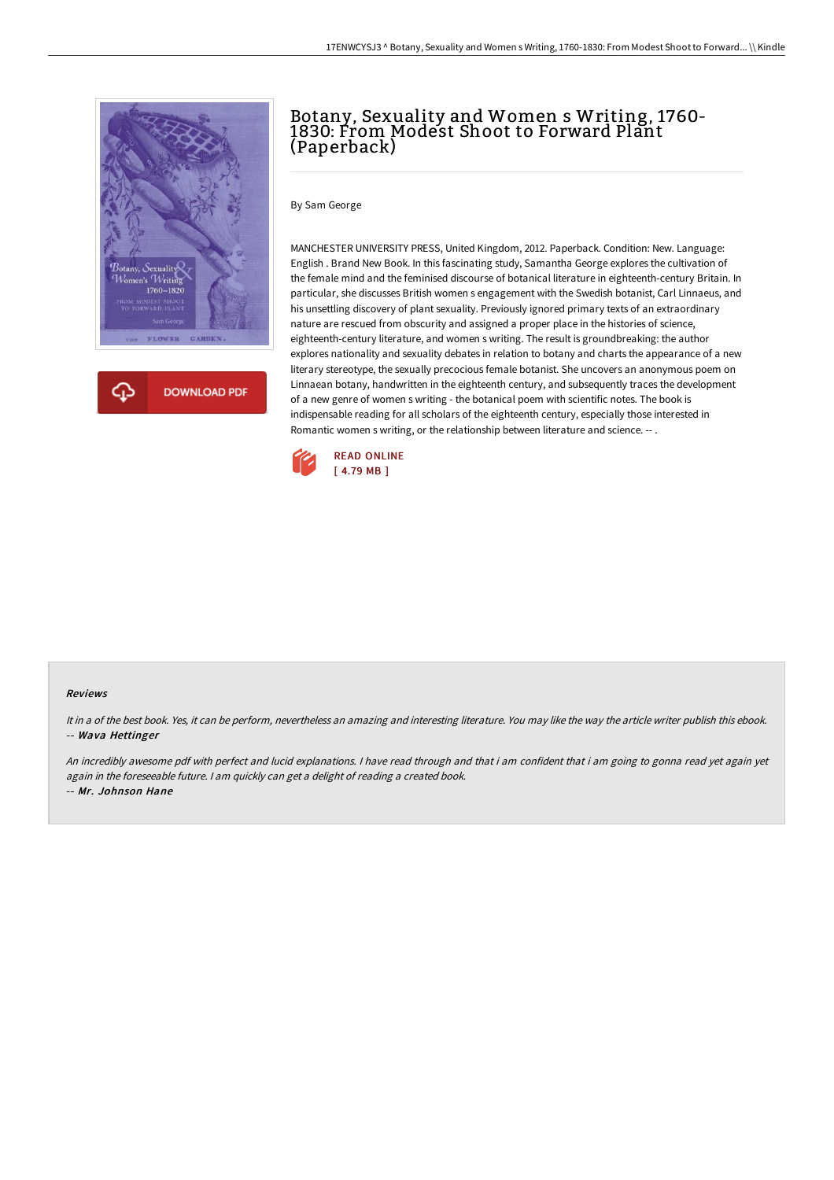

## Botany, Sexuality and Women s Writing, 1760- 1830: From Modest Shoot to Forward Plant (Paperback)

By Sam George

MANCHESTER UNIVERSITY PRESS, United Kingdom, 2012. Paperback. Condition: New. Language: English . Brand New Book. In this fascinating study, Samantha George explores the cultivation of the female mind and the feminised discourse of botanical literature in eighteenth-century Britain. In particular, she discusses British women s engagement with the Swedish botanist, Carl Linnaeus, and his unsettling discovery of plant sexuality. Previously ignored primary texts of an extraordinary nature are rescued from obscurity and assigned a proper place in the histories of science, eighteenth-century literature, and women s writing. The result is groundbreaking: the author explores nationality and sexuality debates in relation to botany and charts the appearance of a new literary stereotype, the sexually precocious female botanist. She uncovers an anonymous poem on Linnaean botany, handwritten in the eighteenth century, and subsequently traces the development of a new genre of women s writing - the botanical poem with scientific notes. The book is indispensable reading for all scholars of the eighteenth century, especially those interested in Romantic women s writing, or the relationship between literature and science. -- .



## Reviews

It in <sup>a</sup> of the best book. Yes, it can be perform, nevertheless an amazing and interesting literature. You may like the way the article writer publish this ebook. -- Wava Hettinger

An incredibly awesome pdf with perfect and lucid explanations. <sup>I</sup> have read through and that i am confident that i am going to gonna read yet again yet again in the foreseeable future. <sup>I</sup> am quickly can get <sup>a</sup> delight of reading <sup>a</sup> created book. -- Mr. Johnson Hane